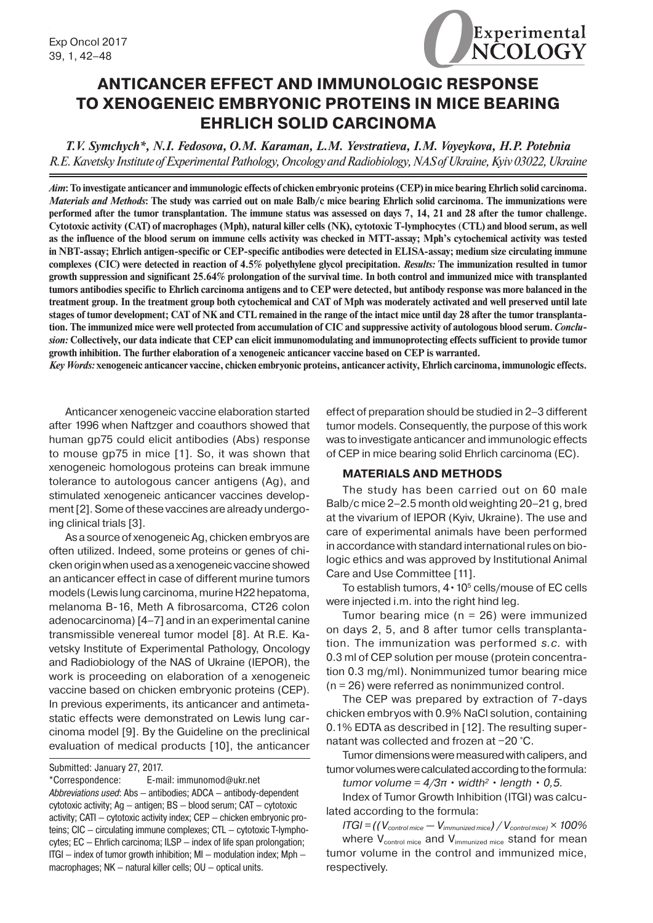

# **ANTICANCER EFFECT AND IMMUNOLOGIC RESPONSE TO XENOGENEIC EMBRYONIC PROTEINS IN MICE BEARING EHRLICH SOLID CARCINOMA**

*T.V. Symchych\*, N.I. Fedosova, O.M. Karaman, L.M. Yevstratieva, I.M. Voyeykova, H.P. Potebnia R.E. Kavetsky Institute of Experimental Pathology, Oncology and Radiobiology, NAS of Ukraine, Kyiv 03022, Ukraine*

*Aim***: To investigate anticancer and immunologic effects of chicken embryonic proteins (CEP) in mice bearing Ehrlich solid carcinoma.**  *Materials and Methods***: The study was carried out on male Balb/c mice bearing Ehrlich solid carcinoma. The immunizations were performed after the tumor transplantation. The immune status was assessed on days 7, 14, 21 and 28 after the tumor challenge. Cytotoxic activity (CAT) of macrophages (Mph), natural killer cells (NK), cytotoxic T-lymphocytes** (**CTL) and blood serum, as well as the influence of the blood serum on immune cells activity was checked in MTT-assay; Mph's cytochemical activity was tested in NBT-assay; Ehrlich antigen-specific or CEP-specific antibodies were detected in ELISA-assay; medium size circulating immune complexes (CIC) were detected in reaction of 4.5% polyethylene glycol precipitation.** *Results:* **The immunization resulted in tumor growth suppression and significant 25.64% prolongation of the survival time. In both control and immunized mice with transplanted tumors antibodies specific to Ehrlich carcinoma antigens and to CEP were detected, but antibody response was more balanced in the treatment group. In the treatment group both cytochemical and CAT of Mph was moderately activated and well preserved until late stages of tumor development; CAT of NK and CTL remained in the range of the intact mice until day 28 after the tumor transplantation. The immunized mice were well protected from accumulation of CIC and suppressive activity of autologous blood serum.** *Conclusion:* **Collectively, our data indicate that CEP can elicit immunomodulating and immunoprotecting effects sufficient to provide tumor growth inhibition. The further elaboration of a xenogeneic anticancer vaccine based on CEP is warranted.**

*Key Words:* **xenogeneic anticancer vaccine, chicken embryonic proteins, anticancer activity, Ehrlich carcinoma, immunologic effects.**

Anticancer xenogeneic vaccine elaboration started after 1996 when Naftzger and coauthors showed that human gp75 could elicit antibodies (Abs) response to mouse gp75 in mice [1]. So, it was shown that xenogeneic homologous proteins can break immune tolerance to autologous cancer antigens (Ag), and stimulated xenogeneic anticancer vaccines development[2]. Some of these vaccines are already undergoing clinical trials [3].

As a source of xenogeneic Ag, chicken embryos are often utilized. Indeed, some proteins or genes of chicken origin when used as a xenogeneic vaccine showed an anticancer effect in case of different murine tumors models (Lewis lung carcinoma, murine H22 hepatoma, melanoma B-16, Meth A fibrosarcoma, CT26 colon adenocarcinoma) [4–7] and in an experimental canine transmissible venereal tumor model [8]. At R.E. Kavetsky Institute of Experimental Pathology, Oncology and Radiobiology of the NAS of Ukraine (IEPOR), the work is proceeding on elaboration of a xenogeneic vaccine based on chicken embryonic proteins (CEP). In previous experiments, its anticancer and antimetastatic effects were demonstrated on Lewis lung carcinoma model [9]. By the Guideline on the preclinical evaluation of medical products [10], the anticancer

\*Correspondence: E-mail: immunomod@ukr.net *Abbreviations used*: Abs — antibodies; ADCA — antibody-dependent cytotoxic activity; Ag — antigen; BS — blood serum; CAT — cytotoxic activity; CATI — cytotoxic activity index; CEP — chicken embryonic proteins; CIC — circulating immune complexes; CTL — cytotoxic T-lymphocytes; EC — Ehrlich carcinoma; ILSP — index of life span prolongation; ITGI — index of tumor growth inhibition; MI — modulation index; Mph macrophages; NK — natural killer cells; OU — optical units.

effect of preparation should be studied in 2–3 different tumor models. Consequently, the purpose of this work was to investigate anticancer and immunologic effects of CEP in mice bearing solid Ehrlich carcinoma (EC).

# **MATERIALS AND METHODS**

The study has been carried out on 60 male Balb/c mice 2–2.5 month old weighting 20–21 g, bred at the vivarium of IEPOR (Kyiv, Ukraine). The use and care of experimental animals have been performed in accordance with standard international rules on biologic ethics and was approved by Institutional Animal Care and Use Committee [11].

To establish tumors,  $4 \cdot 10^5$  cells/mouse of EC cells were injected i.m. into the right hind leg.

Tumor bearing mice ( $n = 26$ ) were immunized on days 2, 5, and 8 after tumor cells transplantation. The immunization was performed *s.c.* with 0.3 ml of CEP solution per mouse (protein concentration 0.3 mg/ml). Nonimmunized tumor bearing mice (n = 26) were referred as nonimmunized control.

The CEP was prepared by extraction of 7-days chicken embryos with 0.9% NaCl solution, containing 0.1% EDTA as described in [12]. The resulting supernatant was collected and frozen at −20 °C.

Tumor dimensions were measured with calipers, and tumor volumes were calculated according to the formula:  $t$ *umor volume =*  $4/3\pi \cdot \text{width}^2 \cdot \text{length} \cdot 0.5$ *.* 

Index of Tumor Growth Inhibition (ITGI) was calculated according to the formula:

*ITGI = ((Vcontrol mice — Vimmunized mice) / Vcontrol mice) × 100%* where  $V_{control mice}$  and  $V_{immunized mice}$  stand for mean tumor volume in the control and immunized mice, respectively.

Submitted: January 27, 2017.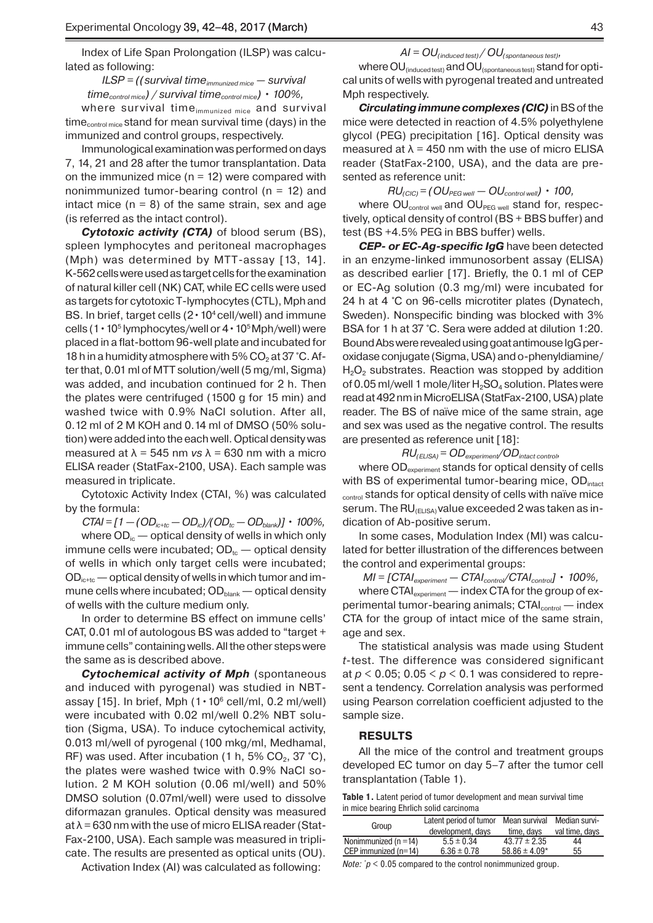Index of Life Span Prolongation (ILSP) was calculated as following:

*ILSP* = ((survival time<sub>immunized mice – survival</sub> *timecontrol mice) / survival timecontrol mice) • 100%,*

where survival time<sub>immunized mice</sub> and survival  $time_{control mice}$  stand for mean survival time (days) in the immunized and control groups, respectively.

Immunological examination was performed on days 7, 14, 21 and 28 after the tumor transplantation. Data on the immunized mice  $(n = 12)$  were compared with nonimmunized tumor-bearing control ( $n = 12$ ) and intact mice  $(n = 8)$  of the same strain, sex and age (is referred as the intact control).

*Cytotoxic activity (CTA)* of blood serum (BS), spleen lymphocytes and peritoneal macrophages (Mph) was determined by МТТ-assay [13, 14]. K-562 cells were used as target cells for the examination of natural killer cell (NK) CAT, while EC cells were used as targets for cytotoxic T-lymphocytes (CTL), Mph and BS. In brief, target cells  $(2 \cdot 10^4 \text{cell/well})$  and immune cells (1  $\cdot$  10<sup>5</sup> lymphocytes/well or  $4 \cdot 10^5$  Mph/well) were placed in a flat-bottom 96-well plate and incubated for 18 h in a humidity atmosphere with 5%  $CO<sub>2</sub>$  at 37 °C. After that, 0.01 ml of МТТ solution/well (5 mg/ml, Sigma) was added, and incubation continued for 2 h. Then the plates were centrifuged (1500 g for 15 min) and washed twice with 0.9% NaCl solution. After all, 0.12 ml of 2 M КОН and 0.14 ml of DMSO (50% solution) were added into the each well. Optical density was measured at  $\lambda$  = 545 nm *vs*  $\lambda$  = 630 nm with a micro ELISA reader (StatFax-2100, USA). Each sample was measured in triplicate.

Cytotoxic Activity Index (CTAI, %) was calculated by the formula:

 $CTAI = [1 - (OD_{ictoc} - OD_{ic}) / (OD_{tc} - OD_{blank})] \cdot 100\%,$ where  $OD_{i c}$  — optical density of wells in which only immune cells were incubated;  $OD<sub>tc</sub>$  — optical density of wells in which only target cells were incubated;  $OD_{\text{ict}}$  — optical density of wells in which tumor and immune cells where incubated;  $OD_{\text{blank}}$  — optical density of wells with the culture medium only.

In order to determine BS effect on immune cells' CAT, 0.01 ml of autologous BS was added to "target + immune cells" containing wells. All the other steps were the same as is described above.

*Cytochemical activity of Mph* (spontaneous and induced with pyrogenal) was studied in NBT-assay [15]. In brief, Mph  $(1 \cdot 10^6 \text{ cell/ml}, 0.2 \text{ ml/well})$ were incubated with 0.02 ml/well 0.2% NBT solution (Sigma, USA). To induce cytochemical activity, 0.013 ml/well of pyrogenal (100 mkg/ml, Medhamal, RF) was used. After incubation (1 h, 5%  $CO<sub>2</sub>$ , 37 °C), the plates were washed twice with 0.9% NaCl solution. 2 M KOH solution (0.06 ml/well) and 50% DMSO solution (0.07ml/well) were used to dissolve diformazan granules. Optical density was measured  $at \lambda = 630$  nm with the use of micro ELISA reader (Stat-Fax-2100, USA). Each sample was measured in triplicate. The results are presented as optical units (OU).

Activation Index (AI) was calculated as following:

#### *AI = OU(induced test) / OU(spontaneous test),*

where  $\text{OU}_{\text{(induced test)}}$  and  $\text{OU}_{\text{(spontaneous test)}}$  stand for optical units of wells with pyrogenal treated and untreated Mph respectively.

*Circulating immune complexes (CIC)* in BS of the mice were detected in reaction of 4.5% polyethylene glycol (PEG) precipitation [16]. Optical density was measured at  $\lambda$  = 450 nm with the use of micro ELISA reader (StatFax-2100, USA), and the data are presented as reference unit:

*RU(CIC) = (OUPEG well — OUcontrol well) • 100,* 

where  $OU_{control\,well}$  and  $OU_{PEG\,well}$  stand for, respectively, optical density of control (BS + BBS buffer) and test (BS +4.5% PEG in BBS buffer) wells.

*CEP- or EC-Ag-specific IgG* have been detected in an enzyme-linked immunosorbent assay (ELISA) as described earlier [17]. Briefly, the 0.1 ml of CEP or EC-Ag solution (0.3 mg/ml) were incubated for 24 h at 4 °C on 96-cells microtiter plates (Dynatech, Sweden). Nonspecific binding was blocked with 3% BSA for 1 h at 37 °C. Sera were added at dilution 1:20. Bound Abs were revealed using goat antimouse IgG peroxidase conjugate (Sigma, USA) and o-phenyldiamine/  $H<sub>2</sub>O<sub>2</sub>$  substrates. Reaction was stopped by addition of 0.05 ml/well 1 mole/liter  $H_2SO_4$  solution. Plates were read at 492 nm in MicroELISA (StatFax-2100, USA) plate reader. The BS of naïve mice of the same strain, age and sex was used as the negative control. The results are presented as reference unit [18]:

$$
RU_{(ELISA)} = OD_{experiment}/OD_{intact\,control},
$$

where  $OD_{\text{experiment}}$  stands for optical density of cells with BS of experimental tumor-bearing mice, OD<sub>intact</sub> control stands for optical density of cells with naïve mice serum. The  $RU_{(ELISA)}$  value exceeded 2 was taken as indication of Ab-positive serum.

In some cases, Modulation Index (MI) was calculated for better illustration of the differences between the control and experimental groups:

*MI = [CTAIexperiment — CTAIcontrol/CTAIcontrol] • 100%,*

where  $\text{CTAl}_{\text{experiment}}$  — index CTA for the group of experimental tumor-bearing animals;  $\text{CTAl}_{\text{control}} - \text{index}$ CTA for the group of intact mice of the same strain, age and sex.

The statistical analysis was made using Student *t*-test. The difference was considered significant at  $p < 0.05$ ;  $0.05 < p < 0.1$  was considered to represent a tendency. Correlation analysis was performed using Pearson correlation coefficient adjusted to the sample size.

## **RESULTS**

All the mice of the control and treatment groups developed EC tumor on day 5–7 after the tumor cell transplantation (Table 1).

**Table 1.** Latent period of tumor development and mean survival time in mice bearing Ehrlich solid carcinoma

|                           | Latent period of tumor | Mean survival     | Median survi-  |
|---------------------------|------------------------|-------------------|----------------|
| Group                     | development, days      | time, days        | val time, days |
| Nonimmunized ( $n = 14$ ) | $5.5 \pm 0.34$         | $43.77 \pm 2.35$  | 44             |
| CEP immunized $(n=14)$    | $6.36 \pm 0.78$        | $58.86 \pm 4.09*$ | 55             |

*Note: \* p* < 0.05 compared to the control nonimmunized group.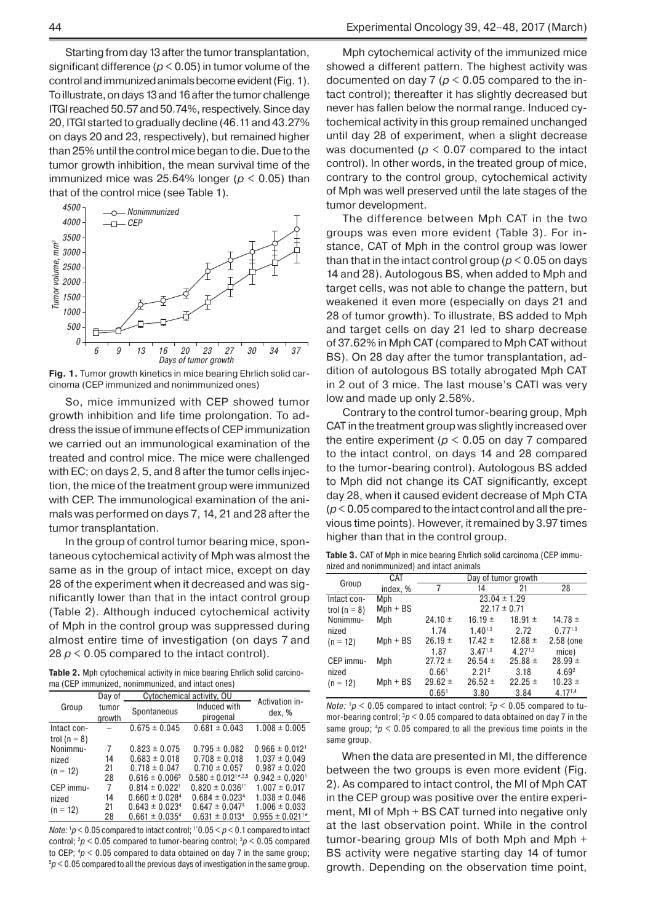Starting from day 13 after the tumor transplantation, significant difference ( $p < 0.05$ ) in tumor volume of the control and immunized animals become evident (Fig.1). To illustrate, on days 13 and 16 after the tumor challenge ITGI reached 50.57 and 50.74%, respectively. Since day 20, ITGI started to gradually decline (46.11 and 43.27% on days 20 and 23, respectively), but remained higher than 25% until the control mice began to die. Due to the tumor growth inhibition, the mean survival time of the immunized mice was 25.64% longer ( $p < 0.05$ ) than that of the control mice (see Table 1).



**Fig. 1.** Tumor growth kinetics in mice bearing Ehrlich solid carcinoma (CEP immunized and nonimmunized ones)

So, mice immunized with CEP showed tumor growth inhibition and life time prolongation. To address the issue of immune effects of CEP immunization we carried out an immunological examination of the treated and control mice. The mice were challenged with EC; on days 2, 5, and 8 after the tumor cells injection, the mice of the treatment group were immunized with CEP. The immunological examination of the animals was performed on days 7, 14, 21 and 28 after the tumor transplantation.

In the group of control tumor bearing mice, spontaneous cytochemical activity of Mph was almost the same as in the group of intact mice, except on day 28 of the experiment when it decreased and was significantly lower than that in the intact control group (Table 2). Although induced cytochemical activity of Mph in the control group was suppressed during almost entire time of investigation (on days 7 and 28  $p < 0.05$  compared to the intact control).

**Table 2.** Mph cytochemical activity in mice bearing Ehrlich solid carcinoma (CEP immunized, nonimmunized, and intact ones)

|                  | Day of | Cytochemical activity, OU      |                                |                                 |
|------------------|--------|--------------------------------|--------------------------------|---------------------------------|
| Group            | tumor  |                                | Induced with                   | Activation in-                  |
|                  | growth | Spontaneous                    | pirogenal                      | dex, %                          |
| Intact con-      |        | $0.675 \pm 0.045$              | $0.681 \pm 0.043$              | $1.008 \pm 0.005$               |
| trol ( $n = 8$ ) |        |                                |                                |                                 |
| Nonimmu-         | 7      | $0.823 \pm 0.075$              | $0.795 \pm 0.082$              | $0.966 \pm 0.012$ <sup>1</sup>  |
| nized            | 14     | $0.683 \pm 0.018$              | $0.708 \pm 0.018$              | $1.037 \pm 0.049$               |
| $(n = 12)$       | 21     | $0.718 \pm 0.047$              | $0.710 \pm 0.057$              | $0.987 \pm 0.020$               |
|                  | 28     | $0.616 \pm 0.0065$             | $0.580 \pm 0.012^{1*,3,5}$     | $0.942 \pm 0.020$ <sup>1</sup>  |
| CEP immu-        | 7      | $0.814 \pm 0.022$ <sup>1</sup> | $0.820 \pm 0.036$ <sup>1</sup> | $1.007 \pm 0.017$               |
| nized            | 14     | $0.660 \pm 0.0284$             | $0.684 \pm 0.0234$             | $1.038 \pm 0.046$               |
| $(n = 12)$       | 21     | $0.643 \pm 0.0234$             | $0.647 \pm 0.0474$             | $1.006 \pm 0.033$               |
|                  | 28     | $0.661 \pm 0.0354$             | $0.631 \pm 0.0134$             | $0.955 \pm 0.021$ <sup>1*</sup> |

*Note:*  $1p < 0.05$  compared to intact control;  $10.05 < p < 0.1$  compared to intact control; 2 *p* < 0.05 compared to tumor-bearing control; 3 *р* < 0.05 compared to CEP; <sup>4</sup>*p* < 0.05 compared to data obtained on day 7 in the same group;<br><sup>5</sup>p < 0.05 compared to all the previous days of investigation in the same group.  $p$  < 0.05 compared to all the previous days of investigation in the same group.

Mph cytochemical activity of the immunized mice showed a different pattern. The highest activity was documented on day 7 ( $p < 0.05$  compared to the intact control); thereafter it has slightly decreased but never has fallen below the normal range. Induced cytochemical activity in this group remained unchanged until day 28 of experiment, when a slight decrease was documented ( $p < 0.07$  compared to the intact control). In other words, in the treated group of mice, contrary to the control group, cytochemical activity of Mph was well preserved until the late stages of the tumor development.

The difference between Mph CAT in the two groups was even more evident (Table 3). For instance, CAT of Mph in the control group was lower than that in the intact control group (*p* < 0.05 on days 14 and 28). Autologous BS, when added to Mph and target cells, was not able to change the pattern, but weakened it even more (especially on days 21 and 28 of tumor growth). To illustrate, BS added to Mph and target cells on day 21 led to sharp decrease of 37.62% in Mph CAT (compared to Mph CAT without BS). On 28 day after the tumor transplantation, addition of autologous BS totally abrogated Mph CAT in 2 out of 3 mice. The last mouse's CATI was very low and made up only 2.58%.

Contrary to the control tumor-bearing group, Mph CAT in the treatment group was slightly increased over the entire experiment ( $p < 0.05$  on day 7 compared to the intact control, on days 14 and 28 compared to the tumor-bearing control). Autologous BS added to Mph did not change its CAT significantly, except day 28, when it caused evident decrease of Mph CTA (*p*<0.05 compared to the intact control and all the previous time points). However, it remained by 3.97 times higher than that in the control group.

**Table 3.** CAT of Mph in mice bearing Ehrlich solid carcinoma (CEP immunized and nonimmunized) and intact animals

| meoa ana nommmameoa) ana miaoi ammaio |            |                     |                   |             |                   |
|---------------------------------------|------------|---------------------|-------------------|-------------|-------------------|
|                                       | CAT        | Day of tumor growth |                   |             |                   |
| Group                                 | index, %   | 7                   | 14                | 21          | 28                |
| Intact con-                           | Mph        | $23.04 \pm 1.29$    |                   |             |                   |
| trol ( $n = 8$ )                      | $Mph + BS$ | $22.17 \pm 0.71$    |                   |             |                   |
| Nonimmu-                              | Mph        | $24.10 \pm$         | $16.19 \pm$       | $18.91 \pm$ | 14.78 $\pm$       |
| nized                                 |            | 1.74                | $1.40^{1,3}$      | 2.72        | $0.77^{1,3}$      |
| $(n = 12)$                            | $Mph + BS$ | $26.19 \pm$         | $17.42 \pm$       | $12.88 \pm$ | 2.58 (one         |
|                                       |            | 1.87                | $3.47^{1,3}$      | 4.271,3     | mice)             |
| CEP immu-                             | Mph        | $27.72 \pm$         | $26.54 \pm$       | $25.88 \pm$ | $28.99 \pm$       |
| nized                                 |            | 0.66 <sup>1</sup>   | 2.21 <sup>2</sup> | 3.18        | 4.69 <sup>2</sup> |
| $(n = 12)$                            | $Mph + BS$ | $29.62 \pm$         | $26.52 \pm$       | $22.25 \pm$ | $10.23 \pm$       |
|                                       |            | 0.65 <sup>1</sup>   | 3.80              | 3.84        | 4.171,4           |

*Note:*  $1p < 0.05$  compared to intact control;  $2p < 0.05$  compared to tumor-bearing control;  $3p < 0.05$  compared to data obtained on day 7 in the same group;  $4p < 0.05$  compared to all the previous time points in the same group.

When the data are presented in MI, the difference between the two groups is even more evident (Fig. 2). As compared to intact control, the MI of Mph CAT in the CEP group was positive over the entire experiment, MI of Mph + BS CAT turned into negative only at the last observation point. While in the control tumor-bearing group MIs of both Mph and Mph + BS activity were negative starting day 14 of tumor growth. Depending on the observation time point,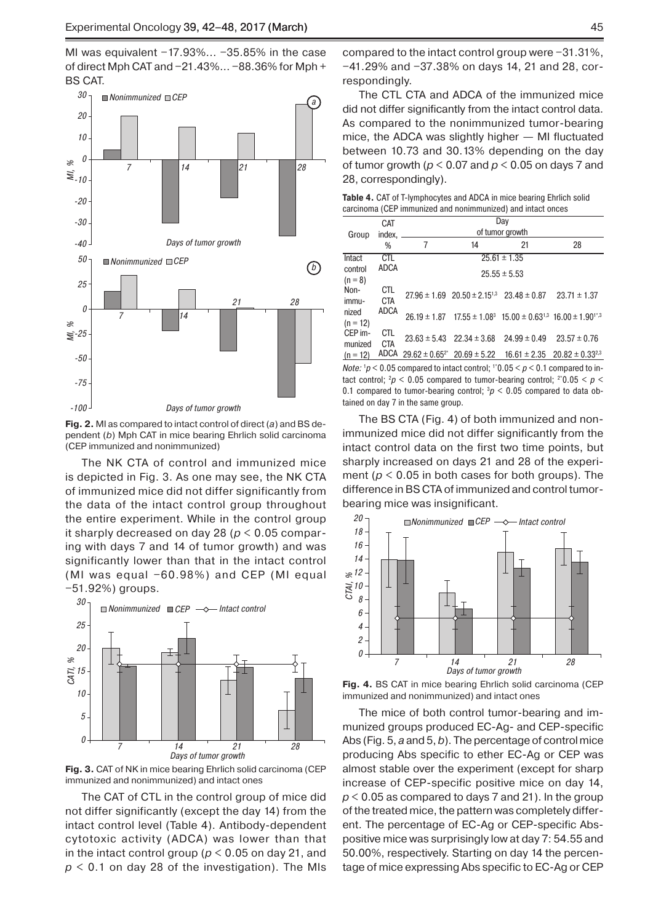MI was equivalent −17.93%... −35.85% in the case of direct Mph CAT and −21.43%... −88.36% for Mph + BS CAT.



**Fig. 2.** MI as compared to intact control of direct (*a*) and BS dependent (*b*) Mph CAT in mice bearing Ehrlich solid carcinoma (CEP immunized and nonimmunized)

The NK CTA of control and immunized mice is depicted in Fig. 3. As one may see, the NK CTA of immunized mice did not differ significantly from the data of the intact control group throughout the entire experiment. While in the control group it sharply decreased on day 28 (*p* < 0.05 comparing with days 7 and 14 of tumor growth) and was significantly lower than that in the intact control (MI was equal −60.98%) and CEP (MI equal −51.92%) groups.



**Fig. 3.** CAT of NK in mice bearing Ehrlich solid carcinoma (CEP immunized and nonimmunized) and intact ones

The CAT of CTL in the control group of mice did not differ significantly (except the day 14) from the intact control level (Table 4). Antibody-dependent cytotoxic activity (ADCA) was lower than that in the intact control group ( $p < 0.05$  on day 21, and  $p < 0.1$  on day 28 of the investigation). The MIs compared to the intact control group were −31.31%, −41.29% and −37.38% on days 14, 21 and 28, correspondingly.

The CTL CTA and ADCA of the immunized mice did not differ significantly from the intact control data. As compared to the nonimmunized tumor-bearing mice, the ADCA was slightly higher — MI fluctuated between 10.73 and 30.13% depending on the day of tumor growth (*p* < 0.07 and *p* < 0.05 on days 7 and 28, correspondingly).

| <b>Table 4.</b> CAT of T-lymphocytes and ADCA in mice bearing Ehrlich solid |  |
|-----------------------------------------------------------------------------|--|
| carcinoma (CEP immunized and nonimmunized) and intact onces                 |  |

|                      | <b>CAT</b>        | Day             |                                                    |                                                                           |                                                                                          |
|----------------------|-------------------|-----------------|----------------------------------------------------|---------------------------------------------------------------------------|------------------------------------------------------------------------------------------|
| Group                | index,            | of tumor growth |                                                    |                                                                           |                                                                                          |
|                      | %                 | 7               | 14                                                 | 21                                                                        | 28                                                                                       |
| Intact               | <b>CTL</b>        |                 |                                                    |                                                                           |                                                                                          |
| control<br>$(n = 8)$ | <b>ADCA</b>       |                 |                                                    | $25.55 \pm 5.53$                                                          |                                                                                          |
| Non-<br>immu-        | CTL<br><b>CTA</b> |                 |                                                    | $27.96 \pm 1.69$ $20.50 \pm 2.15^{1,3}$ $23.48 \pm 0.87$ $23.71 \pm 1.37$ |                                                                                          |
| nized<br>$(n = 12)$  | <b>ADCA</b>       |                 |                                                    |                                                                           | $26.19 \pm 1.87$ $17.55 \pm 1.08^3$ $15.00 \pm 0.63^{1,3}$ $16.00 \pm 1.90^{1^{\ast},3}$ |
| CEP im-<br>munized   | CTL<br><b>CTA</b> |                 | $23.63 \pm 5.43$ $22.34 \pm 3.68$ $24.99 \pm 0.49$ |                                                                           | $23.57 \pm 0.76$                                                                         |
| $(n = 12)$           |                   |                 |                                                    |                                                                           | ADCA $29.62 \pm 0.65^{2*}$ $20.69 \pm 5.22$ $16.61 \pm 2.35$ $20.82 \pm 0.33^{2,3}$      |
|                      |                   |                 |                                                    |                                                                           |                                                                                          |

*Note:*  $1p < 0.05$  compared to intact control;  $120.05 < p < 0.1$  compared to intact control;  ${}^2p$  < 0.05 compared to tumor-bearing control;  ${}^{2*}0.05 < p <$ 0.1 compared to tumor-bearing control;  $\partial p < 0.05$  compared to data obtained on day 7 in the same group.

The BS CTA (Fig. 4) of both immunized and nonimmunized mice did not differ significantly from the intact control data on the first two time points, but sharply increased on days 21 and 28 of the experiment ( $p < 0.05$  in both cases for both groups). The difference in BS CTA of immunized and control tumorbearing mice was insignificant.



**Fig. 4.** BS CAT in mice bearing Ehrlich solid carcinoma (CEP immunized and nonimmunized) and intact ones

The mice of both control tumor-bearing and immunized groups produced EC-Ag- and CEP-specific Abs (Fig. 5, *a* and 5, *b*). The percentage of control mice producing Abs specific to ether EC-Ag or CEP was almost stable over the experiment (except for sharp increase of CEP-specific positive mice on day 14, *p* < 0.05 as compared to days 7 and 21). In the group of the treated mice, the pattern was completely different. The percentage of EC-Ag or CEP-specific Abspositive mice was surprisingly low at day 7: 54.55 and 50.00%, respectively. Starting on day 14 the percentage of mice expressing Abs specific to EC-Ag or CEP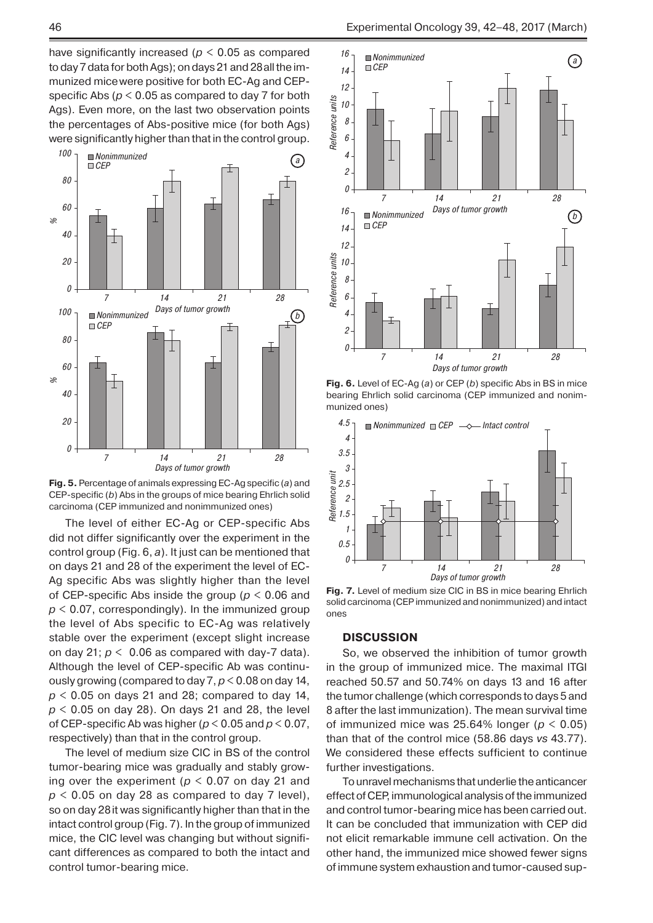have significantly increased ( $p < 0.05$  as compared to day 7 data for both Ags); on days 21 and 28all the immunized micewere positive for both EC-Ag and CEPspecific Abs (*p* < 0.05 as compared to day 7 for both Ags). Even more, on the last two observation points the percentages of Abs-positive mice (for both Ags) were significantly higher than that in the control group.





The level of either EC-Ag or CEP-specific Abs did not differ significantly over the experiment in the control group (Fig. 6, *a*). It just can be mentioned that on days 21 and 28 of the experiment the level of EC-Ag specific Abs was slightly higher than the level of CEP-specific Abs inside the group (*p* < 0.06 and  $p$  < 0.07, correspondingly). In the immunized group the level of Abs specific to EC-Ag was relatively stable over the experiment (except slight increase on day 21;  $p < 0.06$  as compared with day-7 data). Although the level of CEP-specific Ab was continuously growing (compared to day 7, *p* < 0.08 on day 14, *p* < 0.05 on days 21 and 28; compared to day 14, *p* < 0.05 on day 28). On days 21 and 28, the level of CEP-specific Ab was higher (*p* < 0.05 and *p* < 0.07, respectively) than that in the control group.

The level of medium size CIC in BS of the control tumor-bearing mice was gradually and stably growing over the experiment ( $p < 0.07$  on day 21 and  $p$  < 0.05 on day 28 as compared to day 7 level), so on day 28it was significantly higher than that in the intact control group (Fig. 7). In the group of immunized mice, the CIC level was changing but without significant differences as compared to both the intact and control tumor-bearing mice.



**Fig. 6.** Level of EC-Ag (*a*) or CEP (*b*) specific Abs in BS in mice bearing Ehrlich solid carcinoma (CEP immunized and nonimmunized ones)



**Fig. 7.** Level of medium size CIC in BS in mice bearing Ehrlich solid carcinoma (CEP immunized and nonimmunized) and intact ones

## **DISCUSSION**

So, we observed the inhibition of tumor growth in the group of immunized mice. The maximal ITGI reached 50.57 and 50.74% on days 13 and 16 after the tumor challenge (which corresponds to days 5 and 8 after the last immunization). The mean survival time of immunized mice was  $25.64\%$  longer ( $p < 0.05$ ) than that of the control mice (58.86 days *vs* 43.77). We considered these effects sufficient to continue further investigations.

To unravel mechanisms that underlie the anticancer effect of CEP, immunological analysis of the immunized and control tumor-bearing mice has been carried out. It can be concluded that immunization with CEP did not elicit remarkable immune cell activation. On the other hand, the immunized mice showed fewer signs of immune system exhaustion and tumor-caused sup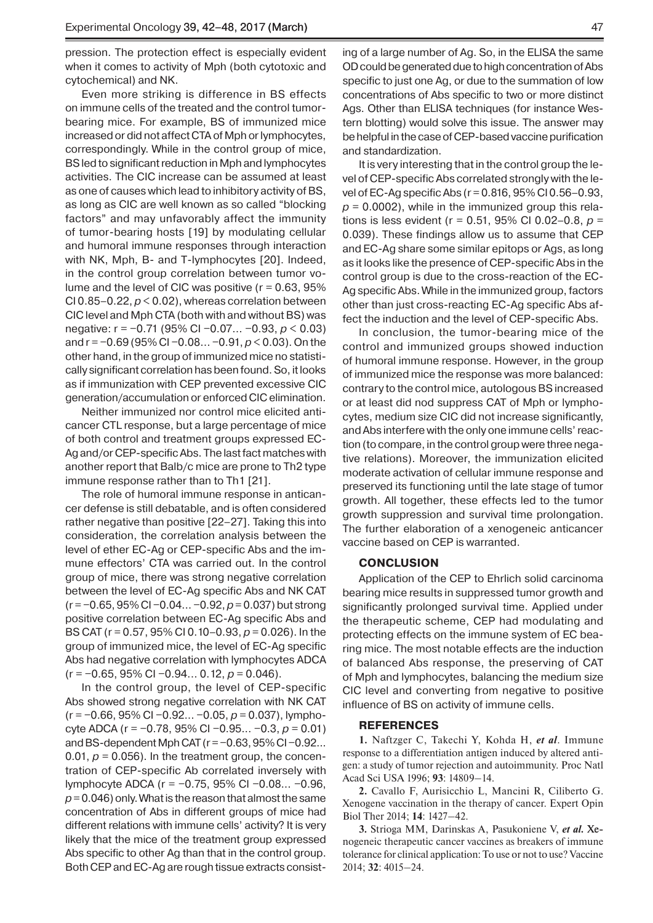pression. The protection effect is especially evident when it comes to activity of Mph (both cytotoxic and cytochemical) and NK.

Even more striking is difference in BS effects on immune cells of the treated and the control tumorbearing mice. For example, BS of immunized mice increased or did not affect CTA of Mph or lymphocytes, correspondingly. While in the control group of mice, BS led to significant reduction in Mph and lymphocytes activities. The CIC increase can be assumed at least as one of causes which lead to inhibitory activity of BS, as long as CIC are well known as so called "blocking factors" and may unfavorably affect the immunity of tumor-bearing hosts [19] by modulating cellular and humoral immune responses through interaction with NK, Mph, B- and T-lymphocytes [20]. Indeed, in the control group correlation between tumor volume and the level of CIC was positive ( $r = 0.63$ , 95% CI 0.85–0.22,  $p < 0.02$ ), whereas correlation between CIC level and Mph CTA (both with and without BS) was negative: r = −0.71 (95% CI −0.07... −0.93, *p* < 0.03) and r = −0.69 (95% CI −0.08... −0.91, *p* < 0.03). On the other hand, in the group of immunized mice no statistically significant correlation has been found. So, it looks as if immunization with CEP prevented excessive CIC generation/accumulation or enforced CIC elimination.

Neither immunized nor control mice elicited anticancer CTL response, but a large percentage of mice of both control and treatment groups expressed EC-Ag and/or CEP-specific Abs. The last fact matches with another report that Balb/c mice are prone to Th2 type immune response rather than to Th1 [21].

The role of humoral immune response in anticancer defense is still debatable, and is often considered rather negative than positive [22–27]. Taking this into consideration, the correlation analysis between the level of ether EC-Ag or CEP-specific Abs and the immune effectors' CTA was carried out. In the control group of mice, there was strong negative correlation between the level of EC-Ag specific Abs and NK CAT (r = −0.65, 95% CI −0.04... −0.92, *p* = 0.037) but strong positive correlation between EC-Ag specific Abs and BS CAT (r = 0.57, 95% CI 0.10–0.93, *p* = 0.026). In the group of immunized mice, the level of EC-Ag specific Abs had negative correlation with lymphocytes ADCA (r = −0.65, 95% CI −0.94... 0.12, *p* = 0.046).

In the control group, the level of CEP-specific Abs showed strong negative correlation with NK CAT (r = −0.66, 95% CI −0.92... −0.05, *p* = 0.037), lymphocyte ADCA (r = −0.78, 95% CI −0.95... −0.3, *p* = 0.01) and BS-dependent Mph CAT (r = −0.63, 95% CI −0.92... 0.01,  $p = 0.056$ ). In the treatment group, the concentration of CEP-specific Ab correlated inversely with lymphocyte ADCA (r = −0.75, 95% CI −0.08... −0.96, *p*= 0.046) only. What is the reason that almost the same concentration of Abs in different groups of mice had different relations with immune cells' activity? It is very likely that the mice of the treatment group expressed Abs specific to other Ag than that in the control group. Both CEP and EC-Ag are rough tissue extracts consisting of a large number of Ag. So, in the ELISA the same OD could be generated due to high concentration of Abs specific to just one Ag, or due to the summation of low concentrations of Abs specific to two or more distinct Ags. Other than ELISA techniques (for instance Western blotting) would solve this issue. The answer may be helpful in the case of CEP-based vaccine purification and standardization.

It is very interesting that in the control group the level of CEP-specific Abs correlated strongly with the level of EC-Ag specific Abs (r = 0.816, 95% CI 0.56–0.93,  $p = 0.0002$ ), while in the immunized group this relations is less evident (r = 0.51, 95% CI 0.02–0.8, *p* = 0.039). These findings allow us to assume that CEP and EC-Ag share some similar epitops or Ags, as long as it looks like the presence of CEP-specific Abs in the control group is due to the cross-reaction of the EC-Ag specific Abs. While in the immunized group, factors other than just cross-reacting EC-Ag specific Abs affect the induction and the level of CEP-specific Abs.

In conclusion, the tumor-bearing mice of the control and immunized groups showed induction of humoral immune response. However, in the group of immunized mice the response was more balanced: contrary to the control mice, autologous BS increased or at least did nod suppress CAT of Mph or lymphocytes, medium size CIC did not increase significantly, and Abs interfere with the only one immune cells' reaction (to compare, in the control group were three negative relations). Moreover, the immunization elicited moderate activation of cellular immune response and preserved its functioning until the late stage of tumor growth. All together, these effects led to the tumor growth suppression and survival time prolongation. The further elaboration of a xenogeneic anticancer vaccine based on CEP is warranted.

## **CONCLUSION**

Application of the CEP to Ehrlich solid carcinoma bearing mice results in suppressed tumor growth and significantly prolonged survival time. Applied under the therapeutic scheme, CEP had modulating and protecting effects on the immune system of EC bearing mice. The most notable effects are the induction of balanced Abs response, the preserving of CAT of Mph and lymphocytes, balancing the medium size CIC level and converting from negative to positive influence of BS on activity of immune cells.

#### **REFERENCES**

**1.** Naftzger C, Takechi Y, Kohda H, *et al*. Immune response to a differentiation antigen induced by altered antigen: a study of tumor rejection and autoimmunity. Proc Natl Acad Sci USA 1996; **93**: 14809–14.

**2.** Cavallo F, Aurisicchio L, Mancini R, Ciliberto G. Xenogene vaccination in the therapy of cancer. Expert Opin Biol Ther 2014; **14**: 1427–42.

**3.** Strioga MM, Darinskas A, Pasukoniene V, *et al.* � nogeneic therapeutic cancer vaccines as breakers of immune tolerance for clinical application: To use or not to use? Vaccine 2014; **32**: 4015–24.